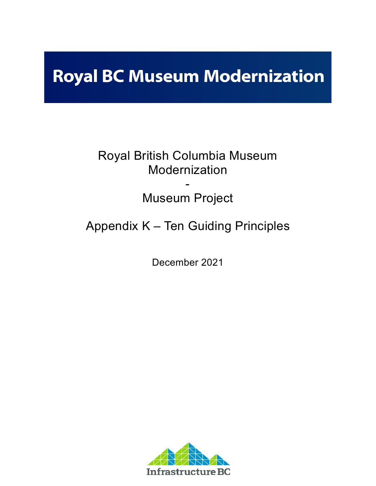# **Royal BC Museum Modernization**

## Royal British Columbia Museum Modernization

### - Museum Project

# Appendix K – Ten Guiding Principles

December 2021

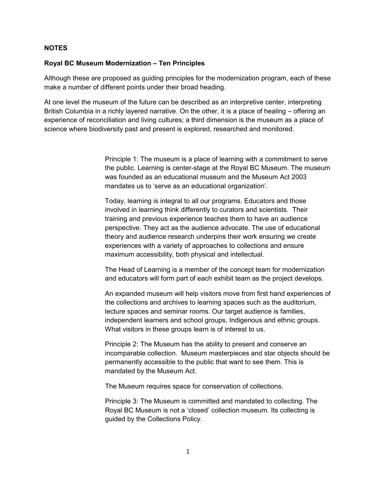### **NOTES**

#### **Royal BC Museum Modernization – Ten Principles**

Although these are proposed as guiding principles for the modernization program, each of these make a number of different points under their broad heading.

At one level the museum of the future can be described as an interpretive center, interpreting British Columbia in a richly layered narrative. On the other, it is a place of healing – offering an experience of reconciliation and living cultures; a third dimension is the museum as a place of science where biodiversity past and present is explored, researched and monitored.

> Principle 1: The museum is a place of learning with a commitment to serve the public. Learning is center-stage at the Royal BC Museum. The museum was founded as an educational museum and the Museum Act 2003 mandates us to 'serve as an educational organization'.

Today, learning is integral to all our programs. Educators and those involved in learning think differently to curators and scientists. Their training and previous experience teaches them to have an audience perspective. They act as the audience advocate. The use of educational theory and audience research underpins their work ensuring we create experiences with a variety of approaches to collections and ensure maximum accessibility, both physical and intellectual.

The Head of Learning is a member of the concept team for modernization and educators will form part of each exhibit team as the project develops.

An expanded museum will help visitors move from first hand experiences of the collections and archives to learning spaces such as the auditorium, lecture spaces and seminar rooms. Our target audience is families, independent learners and school groups, Indigenous and ethnic groups. What visitors in these groups learn is of interest to us.

Principle 2: The Museum has the ability to present and conserve an incomparable collection. Museum masterpieces and star objects should be permanently accessible to the public that want to see them. This is mandated by the Museum Act.

The Museum requires space for conservation of collections.

Principle 3: The Museum is committed and mandated to collecting. The Royal BC Museum is not a 'closed' collection museum. Its collecting is guided by the Collections Policy.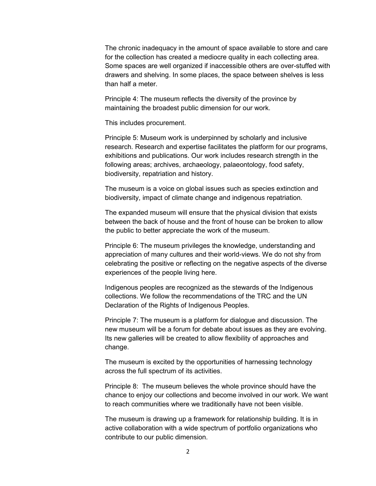The chronic inadequacy in the amount of space available to store and care for the collection has created a mediocre quality in each collecting area. Some spaces are well organized if inaccessible others are over-stuffed with drawers and shelving. In some places, the space between shelves is less than half a meter.

Principle 4: The museum reflects the diversity of the province by maintaining the broadest public dimension for our work.

This includes procurement.

Principle 5: Museum work is underpinned by scholarly and inclusive research. Research and expertise facilitates the platform for our programs, exhibitions and publications. Our work includes research strength in the following areas; archives, archaeology, palaeontology, food safety, biodiversity, repatriation and history.

The museum is a voice on global issues such as species extinction and biodiversity, impact of climate change and indigenous repatriation.

The expanded museum will ensure that the physical division that exists between the back of house and the front of house can be broken to allow the public to better appreciate the work of the museum.

Principle 6: The museum privileges the knowledge, understanding and appreciation of many cultures and their world-views. We do not shy from celebrating the positive or reflecting on the negative aspects of the diverse experiences of the people living here.

Indigenous peoples are recognized as the stewards of the Indigenous collections. We follow the recommendations of the TRC and the UN Declaration of the Rights of Indigenous Peoples.

Principle 7: The museum is a platform for dialogue and discussion. The new museum will be a forum for debate about issues as they are evolving. Its new galleries will be created to allow flexibility of approaches and change.

The museum is excited by the opportunities of harnessing technology across the full spectrum of its activities.

Principle 8: The museum believes the whole province should have the chance to enjoy our collections and become involved in our work. We want to reach communities where we traditionally have not been visible.

The museum is drawing up a framework for relationship building. It is in active collaboration with a wide spectrum of portfolio organizations who contribute to our public dimension.